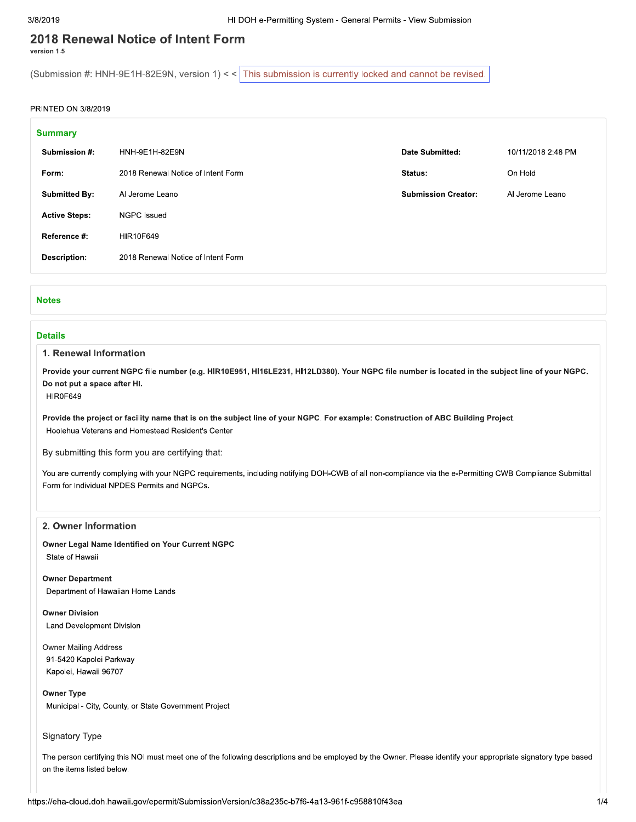# 2018 Renewal Notice of Intent Form

version 1.5

(Submission #: HNH-9E1H-82E9N, version 1) << This submission is currently locked and cannot be revised.

### PRINTED ON 3/8/2019

| <b>Summary</b>       |                                    |                            |                    |
|----------------------|------------------------------------|----------------------------|--------------------|
| Submission #:        | HNH-9E1H-82E9N                     | Date Submitted:            | 10/11/2018 2:48 PM |
| Form:                | 2018 Renewal Notice of Intent Form | Status:                    | On Hold            |
| <b>Submitted By:</b> | Al Jerome Leano                    | <b>Submission Creator:</b> | Al Jerome Leano    |
| <b>Active Steps:</b> | <b>NGPC</b> Issued                 |                            |                    |
| Reference #:         | HIR10F649                          |                            |                    |
| <b>Description:</b>  | 2018 Renewal Notice of Intent Form |                            |                    |
|                      |                                    |                            |                    |

#### **Notes**

#### **Details**

#### 1. Renewal Information

Provide your current NGPC file number (e.g. HIR10E951, HI16LE231, HI12LD380). Your NGPC file number is located in the subject line of your NGPC. Do not put a space after HI.

HIR0F649

Provide the project or facility name that is on the subject line of your NGPC. For example: Construction of ABC Building Project. Hoolehua Veterans and Homestead Resident's Center

By submitting this form you are certifying that:

You are currently complying with your NGPC requirements, including notifying DOH-CWB of all non-compliance via the e-Permitting CWB Compliance Submittal Form for Individual NPDES Permits and NGPCs.

### 2. Owner Information

Owner Legal Name Identified on Your Current NGPC State of Hawaii

**Owner Department** Department of Hawaiian Home Lands

**Owner Division Land Development Division** 

**Owner Mailing Address** 91-5420 Kapolei Parkway Kapolei, Hawaii 96707

#### **Owner Type**

Municipal - City, County, or State Government Project

Signatory Type

The person certifying this NOI must meet one of the following descriptions and be employed by the Owner. Please identify your appropriate signatory type based on the items listed below.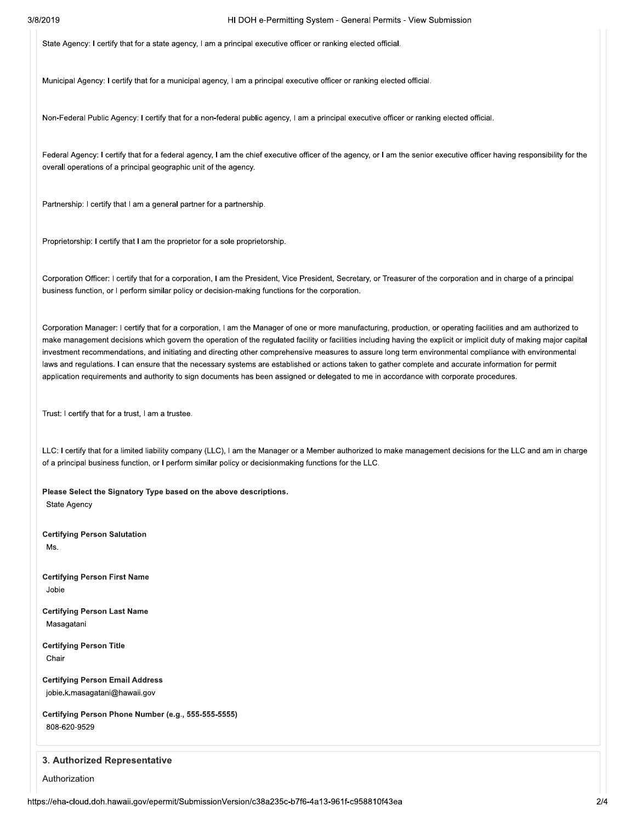State Agency: I certify that for a state agency, I am a principal executive officer or ranking elected official.

Municipal Agency: I certify that for a municipal agency, I am a principal executive officer or ranking elected official.

Non-Federal Public Agency: I certify that for a non-federal public agency, I am a principal executive officer or ranking elected official.

Federal Agency: I certify that for a federal agency, I am the chief executive officer of the agency, or I am the senior executive officer having responsibility for the overall operations of a principal geographic unit of the agency.

Partnership: I certify that I am a general partner for a partnership.

Proprietorship: I certify that I am the proprietor for a sole proprietorship.

Corporation Officer: I certify that for a corporation, I am the President, Vice President, Secretary, or Treasurer of the corporation and in charge of a principal business function, or I perform similar policy or decision-making functions for the corporation.

Corporation Manager: I certify that for a corporation, I am the Manager of one or more manufacturing, production, or operating facilities and am authorized to make management decisions which govern the operation of the regulated facility or facilities including having the explicit or implicit duty of making major capital investment recommendations, and initiating and directing other comprehensive measures to assure long term environmental compliance with environmental laws and regulations. I can ensure that the necessary systems are established or actions taken to gather complete and accurate information for permit application requirements and authority to sign documents has been assigned or delegated to me in accordance with corporate procedures.

Trust: I certify that for a trust, I am a trustee.

LLC: I certify that for a limited liability company (LLC), I am the Manager or a Member authorized to make management decisions for the LLC and am in charge of a principal business function, or I perform similar policy or decisionmaking functions for the LLC.

Please Select the Signatory Type based on the above descriptions.

**State Agency** 

**Certifying Person Salutation** Ms.

**Certifying Person First Name** Jobie

**Certifying Person Last Name** Masagatani

**Certifying Person Title** Chair

**Certifying Person Email Address** jobie.k.masagatani@hawaii.gov

Certifying Person Phone Number (e.g., 555-555-5555) 808-620-9529

## 3. Authorized Representative

Authorization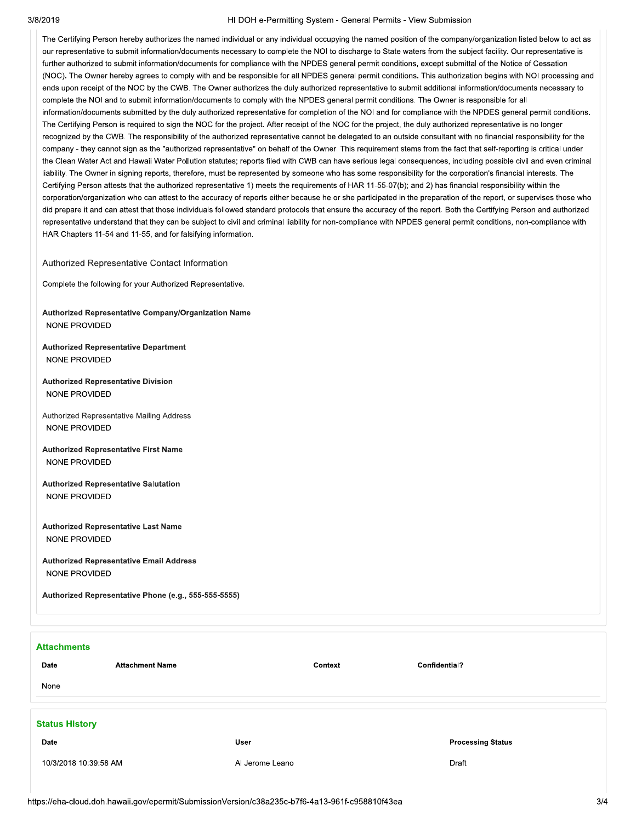#### 3/8/2019

#### HI DOH e-Permitting System - General Permits - View Submission

The Certifying Person hereby authorizes the named individual or any individual occupying the named position of the company/organization listed below to act as our representative to submit information/documents necessary to complete the NOI to discharge to State waters from the subject facility. Our representative is further authorized to submit information/documents for compliance with the NPDES general permit conditions, except submittal of the Notice of Cessation (NOC). The Owner hereby agrees to comply with and be responsible for all NPDES general permit conditions. This authorization begins with NOI processing and ends upon receipt of the NOC by the CWB. The Owner authorizes the duly authorized representative to submit additional information/documents necessary to complete the NOI and to submit information/documents to comply with the NPDES general permit conditions. The Owner is responsible for all information/documents submitted by the duly authorized representative for completion of the NOI and for compliance with the NPDES general permit conditions. The Certifying Person is required to sign the NOC for the project. After receipt of the NOC for the project, the duly authorized representative is no longer recognized by the CWB. The responsibility of the authorized representative cannot be delegated to an outside consultant with no financial responsibility for the company - they cannot sign as the "authorized representative" on behalf of the Owner. This requirement stems from the fact that self-reporting is critical under the Clean Water Act and Hawaii Water Pollution statutes; reports filed with CWB can have serious legal consequences, including possible civil and even criminal liability. The Owner in signing reports, therefore, must be represented by someone who has some responsibility for the corporation's financial interests. The Certifying Person attests that the authorized representative 1) meets the requirements of HAR 11-55-07(b); and 2) has financial responsibility within the corporation/organization who can attest to the accuracy of reports either because he or she participated in the preparation of the report, or supervises those who did prepare it and can attest that those individuals followed standard protocols that ensure the accuracy of the report. Both the Certifying Person and authorized representative understand that they can be subject to civil and criminal liability for non-compliance with NPDES general permit conditions, non-compliance with HAR Chapters 11-54 and 11-55, and for falsifying information.

Authorized Representative Contact Information

Complete the following for your Authorized Representative.

### Authorized Representative Company/Organization Name NONE PROVIDED

**Authorized Representative Department** NONE PROVIDED

**Authorized Representative Division** NONE PROVIDED

Authorized Representative Mailing Address NONE PROVIDED

**Authorized Representative First Name** NONE PROVIDED

**Authorized Representative Salutation** NONE PROVIDED

**Authorized Representative Last Name** NONE PROVIDED

**Authorized Representative Email Address** NONE PROVIDED

Authorized Representative Phone (e.g., 555-555-5555)

| <b>Attachments</b><br>Date<br>None | <b>Attachment Name</b> | Context         | Confidential? |                          |
|------------------------------------|------------------------|-----------------|---------------|--------------------------|
| <b>Status History</b>              |                        |                 |               |                          |
| Date                               |                        | <b>User</b>     |               | <b>Processing Status</b> |
| 10/3/2018 10:39:58 AM              |                        | Al Jerome Leano | Draft         |                          |